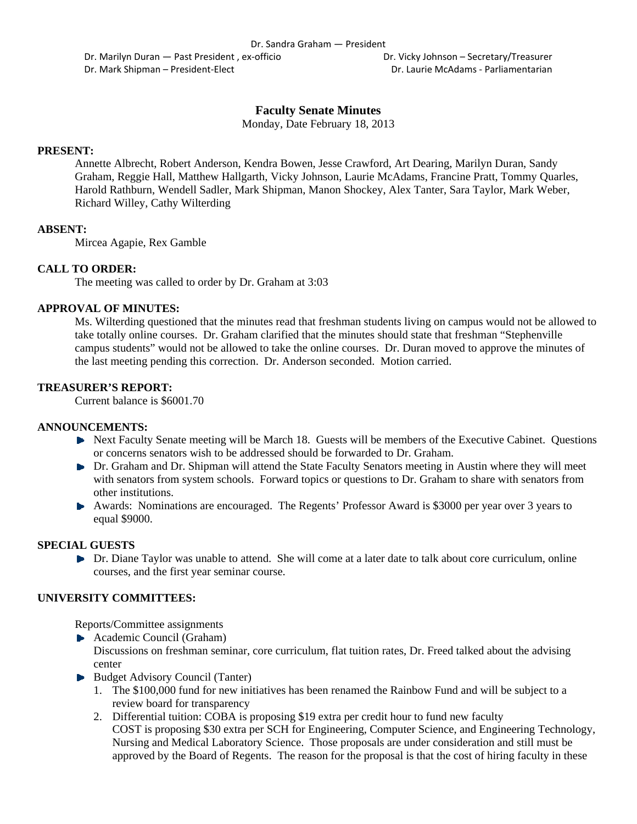Dr. Marilyn Duran — Past President, ex-officio **Britannia Company** Dr. Vicky Johnson – Secretary/Treasurer Dr. Mark Shipman – President‐Elect Dr. Laurie McAdams ‐ Parliamentarian

# **Faculty Senate Minutes**

Monday, Date February 18, 2013

#### **PRESENT:**

Annette Albrecht, Robert Anderson, Kendra Bowen, Jesse Crawford, Art Dearing, Marilyn Duran, Sandy Graham, Reggie Hall, Matthew Hallgarth, Vicky Johnson, Laurie McAdams, Francine Pratt, Tommy Quarles, Harold Rathburn, Wendell Sadler, Mark Shipman, Manon Shockey, Alex Tanter, Sara Taylor, Mark Weber, Richard Willey, Cathy Wilterding

#### **ABSENT:**

Mircea Agapie, Rex Gamble

#### **CALL TO ORDER:**

The meeting was called to order by Dr. Graham at 3:03

#### **APPROVAL OF MINUTES:**

Ms. Wilterding questioned that the minutes read that freshman students living on campus would not be allowed to take totally online courses. Dr. Graham clarified that the minutes should state that freshman "Stephenville campus students" would not be allowed to take the online courses. Dr. Duran moved to approve the minutes of the last meeting pending this correction. Dr. Anderson seconded. Motion carried.

#### **TREASURER'S REPORT:**

Current balance is \$6001.70

#### **ANNOUNCEMENTS:**

- Next Faculty Senate meeting will be March 18. Guests will be members of the Executive Cabinet. Questions or concerns senators wish to be addressed should be forwarded to Dr. Graham.
- Dr. Graham and Dr. Shipman will attend the State Faculty Senators meeting in Austin where they will meet with senators from system schools. Forward topics or questions to Dr. Graham to share with senators from other institutions.
- Awards: Nominations are encouraged. The Regents' Professor Award is \$3000 per year over 3 years to equal \$9000.

## **SPECIAL GUESTS**

Dr. Diane Taylor was unable to attend. She will come at a later date to talk about core curriculum, online courses, and the first year seminar course.

#### **UNIVERSITY COMMITTEES:**

Reports/Committee assignments

▶ Academic Council (Graham)

Discussions on freshman seminar, core curriculum, flat tuition rates, Dr. Freed talked about the advising center

- Budget Advisory Council (Tanter)
	- 1. The \$100,000 fund for new initiatives has been renamed the Rainbow Fund and will be subject to a review board for transparency
	- 2. Differential tuition: COBA is proposing \$19 extra per credit hour to fund new faculty COST is proposing \$30 extra per SCH for Engineering, Computer Science, and Engineering Technology, Nursing and Medical Laboratory Science. Those proposals are under consideration and still must be approved by the Board of Regents. The reason for the proposal is that the cost of hiring faculty in these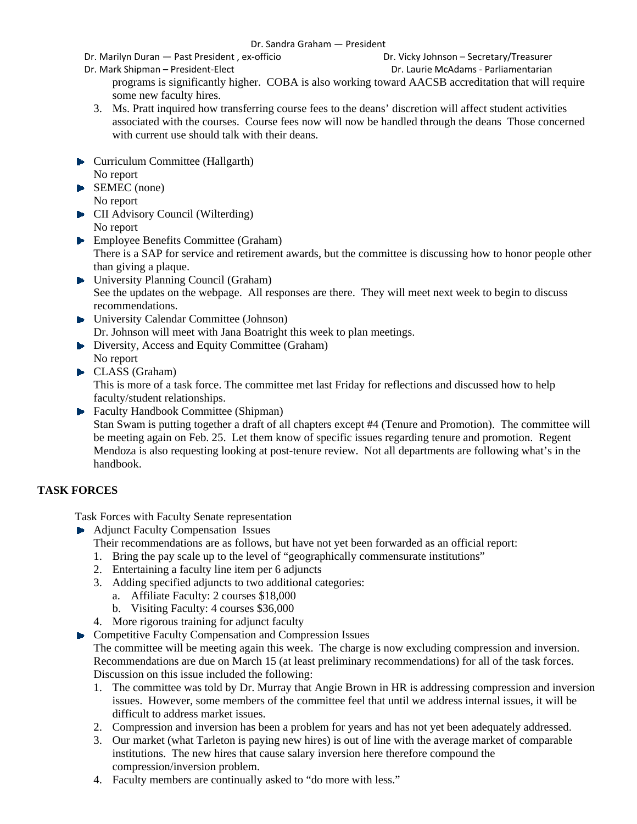Dr. Sandra Graham — President

Dr. Marilyn Duran — Past President , ex‐officio Dr. Vicky Johnson – Secretary/Treasurer

Dr. Mark Shipman – President‐Elect Dr. Laurie McAdams ‐ Parliamentarian

programs is significantly higher. COBA is also working toward AACSB accreditation that will require some new faculty hires.

- 3. Ms. Pratt inquired how transferring course fees to the deans' discretion will affect student activities associated with the courses. Course fees now will now be handled through the deans Those concerned with current use should talk with their deans.
- **Curriculum Committee (Hallgarth)** No report
- SEMEC (none) No report
- **CII** Advisory Council (Wilterding) No report
- **Employee Benefits Committee (Graham)** There is a SAP for service and retirement awards, but the committee is discussing how to honor people other than giving a plaque.
- ▶ University Planning Council (Graham) See the updates on the webpage. All responses are there. They will meet next week to begin to discuss recommendations.
- University Calendar Committee (Johnson) Dr. Johnson will meet with Jana Boatright this week to plan meetings.
- Diversity, Access and Equity Committee (Graham) No report
- CLASS (Graham)

This is more of a task force. The committee met last Friday for reflections and discussed how to help faculty/student relationships.

**Faculty Handbook Committee (Shipman)** Stan Swam is putting together a draft of all chapters except #4 (Tenure and Promotion). The committee will be meeting again on Feb. 25. Let them know of specific issues regarding tenure and promotion. Regent Mendoza is also requesting looking at post-tenure review. Not all departments are following what's in the handbook.

# **TASK FORCES**

Task Forces with Faculty Senate representation

- **►** Adjunct Faculty Compensation Issues
	- Their recommendations are as follows, but have not yet been forwarded as an official report:
	- 1. Bring the pay scale up to the level of "geographically commensurate institutions"
	- 2. Entertaining a faculty line item per 6 adjuncts
	- 3. Adding specified adjuncts to two additional categories:
		- a. Affiliate Faculty: 2 courses \$18,000
		- b. Visiting Faculty: 4 courses \$36,000
	- 4. More rigorous training for adjunct faculty
- **EXECOMPETENT COMPETER COMPETER COMPRESSION** Issues

The committee will be meeting again this week. The charge is now excluding compression and inversion. Recommendations are due on March 15 (at least preliminary recommendations) for all of the task forces. Discussion on this issue included the following:

- 1. The committee was told by Dr. Murray that Angie Brown in HR is addressing compression and inversion issues. However, some members of the committee feel that until we address internal issues, it will be difficult to address market issues.
- 2. Compression and inversion has been a problem for years and has not yet been adequately addressed.
- 3. Our market (what Tarleton is paying new hires) is out of line with the average market of comparable institutions. The new hires that cause salary inversion here therefore compound the compression/inversion problem.
- 4. Faculty members are continually asked to "do more with less."